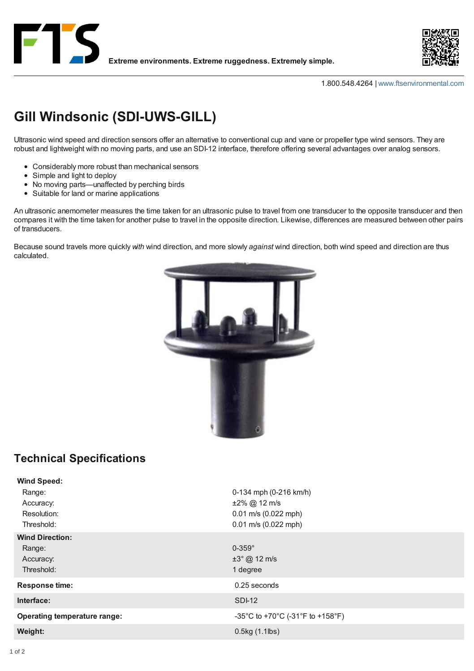



1.800.548.4264 | [www.ftsenvironmental.com](http://www.ftsenvironmental.com/products/sensors/wind/gill_specs/www.ftsenvironmental.com)

## **Gill Windsonic (SDI-UWS-GILL)**

Ultrasonic wind speed and direction sensors offer an alternative to conventional cup and vane or propeller type wind sensors. They are robust and lightweight with no moving parts, and use an SDI-12 interface, therefore offering several advantages over analog sensors.

- Considerably more robust than mechanical sensors
- Simple and light to deploy
- No moving parts—unaffected by perching birds
- Suitable for land or marine applications

An ultrasonic anemometer measures the time taken for an ultrasonic pulse to travel from one transducer to the opposite transducer and then compares it with the time taken for another pulse to travel in the opposite direction. Likewise, differences are measured between other pairs of transducers.

Because sound travels more quickly *with* wind direction, and more slowly *against* wind direction, both wind speed and direction are thus calculated.



## **Technical Specifications**

| <b>Wind Speed:</b>                  |                                  |
|-------------------------------------|----------------------------------|
| Range:                              | 0-134 mph (0-216 km/h)           |
| Accuracy:                           | $±2\%$ @ 12 m/s                  |
| Resolution:                         | 0.01 m/s (0.022 mph)             |
| Threshold:                          | $0.01$ m/s $(0.022$ mph)         |
| <b>Wind Direction:</b>              |                                  |
| Range:                              | $0-359^\circ$                    |
| Accuracy:                           | $\pm 3^{\circ}$ @ 12 m/s         |
| Threshold:                          | 1 degree                         |
| <b>Response time:</b>               | 0.25 seconds                     |
| Interface:                          | <b>SDI-12</b>                    |
| <b>Operating temperature range:</b> | -35°C to +70°C (-31°F to +158°F) |
| Weight:                             | 0.5kg (1.1lbs)                   |